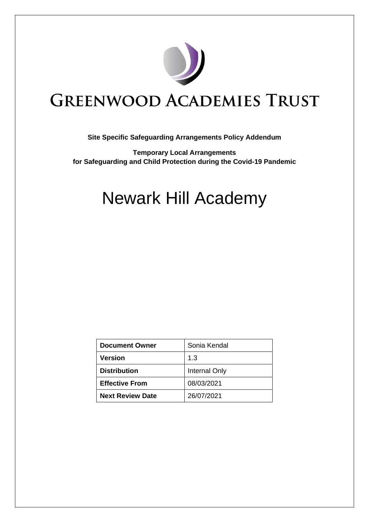

## **GREENWOOD ACADEMIES TRUST**

## **Site Specific Safeguarding Arrangements Policy Addendum**

**Temporary Local Arrangements for Safeguarding and Child Protection during the Covid-19 Pandemic**

# Newark Hill Academy

| <b>Document Owner</b>   | Sonia Kendal  |
|-------------------------|---------------|
| <b>Version</b>          | 1.3           |
| <b>Distribution</b>     | Internal Only |
| <b>Effective From</b>   | 08/03/2021    |
| <b>Next Review Date</b> | 26/07/2021    |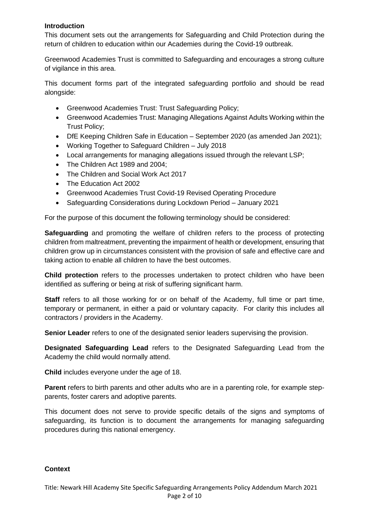## **Introduction**

This document sets out the arrangements for Safeguarding and Child Protection during the return of children to education within our Academies during the Covid-19 outbreak.

Greenwood Academies Trust is committed to Safeguarding and encourages a strong culture of vigilance in this area.

This document forms part of the integrated safeguarding portfolio and should be read alongside:

- Greenwood Academies Trust: Trust Safeguarding Policy;
- Greenwood Academies Trust: Managing Allegations Against Adults Working within the Trust Policy;
- DfE Keeping Children Safe in Education September 2020 (as amended Jan 2021);
- Working Together to Safeguard Children July 2018
- Local arrangements for managing allegations issued through the relevant LSP;
- The Children Act 1989 and 2004;
- The Children and Social Work Act 2017
- The Education Act 2002
- Greenwood Academies Trust Covid-19 Revised Operating Procedure
- Safeguarding Considerations during Lockdown Period January 2021

For the purpose of this document the following terminology should be considered:

**Safeguarding** and promoting the welfare of children refers to the process of protecting children from maltreatment, preventing the impairment of health or development, ensuring that children grow up in circumstances consistent with the provision of safe and effective care and taking action to enable all children to have the best outcomes.

**Child protection** refers to the processes undertaken to protect children who have been identified as suffering or being at risk of suffering significant harm.

**Staff** refers to all those working for or on behalf of the Academy, full time or part time, temporary or permanent, in either a paid or voluntary capacity. For clarity this includes all contractors / providers in the Academy.

**Senior Leader** refers to one of the designated senior leaders supervising the provision.

**Designated Safeguarding Lead** refers to the Designated Safeguarding Lead from the Academy the child would normally attend.

**Child** includes everyone under the age of 18.

**Parent** refers to birth parents and other adults who are in a parenting role, for example stepparents, foster carers and adoptive parents.

This document does not serve to provide specific details of the signs and symptoms of safeguarding, its function is to document the arrangements for managing safeguarding procedures during this national emergency.

#### **Context**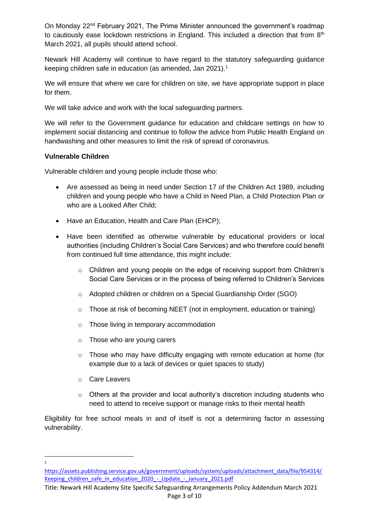On Monday 22<sup>nd</sup> February 2021, The Prime Minister announced the government's roadmap to cautiously ease lockdown restrictions in England. This included a direction that from  $8<sup>th</sup>$ March 2021, all pupils should attend school.

Newark Hill Academy will continue to have regard to the statutory safeguarding guidance keeping children safe in education (as amended, Jan 2021).<sup>1</sup>

We will ensure that where we care for children on site, we have appropriate support in place for them.

We will take advice and work with the local safeguarding partners.

We will refer to the Government guidance for education and childcare settings on how to implement social distancing and continue to follow the advice from Public Health England on handwashing and other measures to limit the risk of spread of coronavirus.

## **Vulnerable Children**

Vulnerable children and young people include those who:

- Are assessed as being in need under Section 17 of the Children Act 1989, including children and young people who have a Child in Need Plan, a Child Protection Plan or who are a Looked After Child;
- Have an Education, Health and Care Plan (EHCP);
- Have been identified as otherwise vulnerable by educational providers or local authorities (including Children's Social Care Services) and who therefore could benefit from continued full time attendance, this might include:
	- $\circ$  Children and young people on the edge of receiving support from Children's Social Care Services or in the process of being referred to Children's Services
	- o Adopted children or children on a Special Guardianship Order (SGO)
	- o Those at risk of becoming NEET (not in employment, education or training)
	- o Those living in temporary accommodation
	- o Those who are young carers
	- o Those who may have difficulty engaging with remote education at home (for example due to a lack of devices or quiet spaces to study)
	- o Care Leavers
	- o Others at the provider and local authority's discretion including students who need to attend to receive support or manage risks to their mental health

Eligibility for free school meals in and of itself is not a determining factor in assessing vulnerability.

1

[https://assets.publishing.service.gov.uk/government/uploads/system/uploads/attachment\\_data/file/954314/](https://assets.publishing.service.gov.uk/government/uploads/system/uploads/attachment_data/file/954314/Keeping_children_safe_in_education_2020_-_Update_-_January_2021.pdf) Keeping children\_safe\_in\_education\_2020\_-\_Update\_-\_January\_2021.pdf

Title: Newark Hill Academy Site Specific Safeguarding Arrangements Policy Addendum March 2021 Page 3 of 10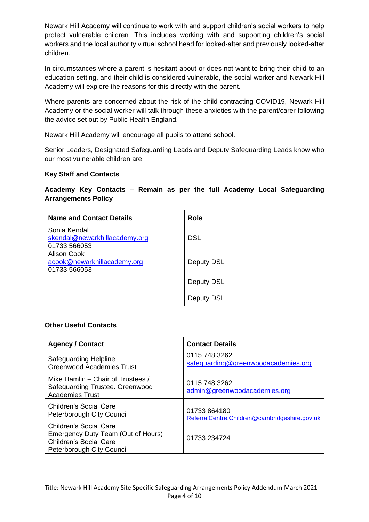Newark Hill Academy will continue to work with and support children's social workers to help protect vulnerable children. This includes working with and supporting children's social workers and the local authority virtual school head for looked-after and previously looked-after children.

In circumstances where a parent is hesitant about or does not want to bring their child to an education setting, and their child is considered vulnerable, the social worker and Newark Hill Academy will explore the reasons for this directly with the parent.

Where parents are concerned about the risk of the child contracting COVID19, Newark Hill Academy or the social worker will talk through these anxieties with the parent/carer following the advice set out by Public Health England.

Newark Hill Academy will encourage all pupils to attend school.

Senior Leaders, Designated Safeguarding Leads and Deputy Safeguarding Leads know who our most vulnerable children are.

## **Key Staff and Contacts**

## **Academy Key Contacts – Remain as per the full Academy Local Safeguarding Arrangements Policy**

| <b>Name and Contact Details</b>                               | <b>Role</b> |
|---------------------------------------------------------------|-------------|
| Sonia Kendal<br>skendal@newarkhillacademy.org<br>01733 566053 | <b>DSL</b>  |
| Alison Cook<br>acook@newarkhillacademy.org<br>01733 566053    | Deputy DSL  |
|                                                               | Deputy DSL  |
|                                                               | Deputy DSL  |

#### **Other Useful Contacts**

| <b>Agency / Contact</b>                                                                                                    | <b>Contact Details</b>                                        |
|----------------------------------------------------------------------------------------------------------------------------|---------------------------------------------------------------|
| Safeguarding Helpline<br><b>Greenwood Academies Trust</b>                                                                  | 0115 748 3262<br>safeguarding@greenwoodacademies.org          |
| Mike Hamlin - Chair of Trustees /<br>Safeguarding Trustee. Greenwood<br><b>Academies Trust</b>                             | 0115 748 3262<br>admin@greenwoodacademies.org                 |
| Children's Social Care<br>Peterborough City Council                                                                        | 01733 864180<br>ReferralCentre.Children@cambridgeshire.gov.uk |
| Children's Social Care<br>Emergency Duty Team (Out of Hours)<br><b>Children's Social Care</b><br>Peterborough City Council | 01733 234724                                                  |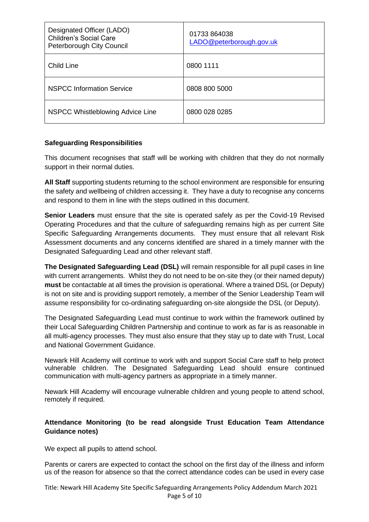| Designated Officer (LADO)<br><b>Children's Social Care</b><br>Peterborough City Council | 01733 864038<br>LADO@peterborough.gov.uk |
|-----------------------------------------------------------------------------------------|------------------------------------------|
| <b>Child Line</b>                                                                       | 0800 1111                                |
| <b>NSPCC Information Service</b>                                                        | 0808 800 5000                            |
| NSPCC Whistleblowing Advice Line                                                        | 0800 028 0285                            |

## **Safeguarding Responsibilities**

This document recognises that staff will be working with children that they do not normally support in their normal duties.

**All Staff** supporting students returning to the school environment are responsible for ensuring the safety and wellbeing of children accessing it. They have a duty to recognise any concerns and respond to them in line with the steps outlined in this document.

**Senior Leaders** must ensure that the site is operated safely as per the Covid-19 Revised Operating Procedures and that the culture of safeguarding remains high as per current Site Specific Safeguarding Arrangements documents. They must ensure that all relevant Risk Assessment documents and any concerns identified are shared in a timely manner with the Designated Safeguarding Lead and other relevant staff.

**The Designated Safeguarding Lead (DSL)** will remain responsible for all pupil cases in line with current arrangements. Whilst they do not need to be on-site they (or their named deputy) **must** be contactable at all times the provision is operational. Where a trained DSL (or Deputy) is not on site and is providing support remotely, a member of the Senior Leadership Team will assume responsibility for co-ordinating safeguarding on-site alongside the DSL (or Deputy).

The Designated Safeguarding Lead must continue to work within the framework outlined by their Local Safeguarding Children Partnership and continue to work as far is as reasonable in all multi-agency processes. They must also ensure that they stay up to date with Trust, Local and National Government Guidance.

Newark Hill Academy will continue to work with and support Social Care staff to help protect vulnerable children. The Designated Safeguarding Lead should ensure continued communication with multi-agency partners as appropriate in a timely manner.

Newark Hill Academy will encourage vulnerable children and young people to attend school, remotely if required.

## **Attendance Monitoring (to be read alongside Trust Education Team Attendance Guidance notes)**

We expect all pupils to attend school.

Parents or carers are expected to contact the school on the first day of the illness and inform us of the reason for absence so that the correct attendance codes can be used in every case

Title: Newark Hill Academy Site Specific Safeguarding Arrangements Policy Addendum March 2021 Page 5 of 10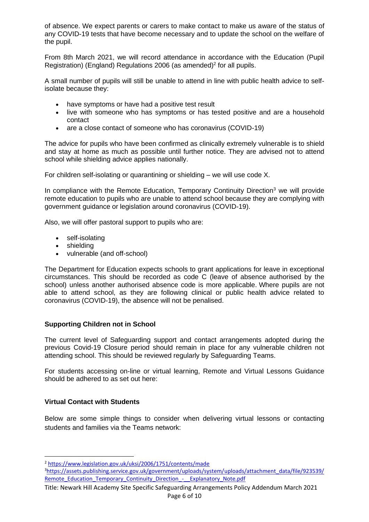of absence. We expect parents or carers to make contact to make us aware of the status of any COVID-19 tests that have become necessary and to update the school on the welfare of the pupil.

From 8th March 2021, we will record attendance in accordance with the Education (Pupil Registration) (England) Regulations 2006 (as amended)<sup>2</sup> for all pupils.

A small number of pupils will still be unable to attend in line with public health advice to selfisolate because they:

- have symptoms or have had a positive test result
- live with someone who has symptoms or has tested positive and are a household contact
- are a close contact of someone who has coronavirus (COVID-19)

The advice for pupils who have been confirmed as clinically extremely vulnerable is to shield and stay at home as much as possible until further notice. They are advised not to attend school while shielding advice applies nationally.

For children self-isolating or quarantining or shielding – we will use code X.

In compliance with the Remote Education, Temporary Continuity Direction<sup>3</sup> we will provide remote education to pupils who are unable to attend school because they are complying with government guidance or legislation around coronavirus (COVID-19).

Also, we will offer pastoral support to pupils who are:

- self-isolating
- shielding
- vulnerable (and off-school)

The Department for Education expects schools to grant applications for leave in exceptional circumstances. This should be recorded as code C (leave of absence authorised by the school) unless another authorised absence code is more applicable. Where pupils are not able to attend school, as they are following clinical or public health advice related to coronavirus (COVID-19), the absence will not be penalised.

#### **Supporting Children not in School**

The current level of Safeguarding support and contact arrangements adopted during the previous Covid-19 Closure period should remain in place for any vulnerable children not attending school. This should be reviewed regularly by Safeguarding Teams.

For students accessing on-line or virtual learning, Remote and Virtual Lessons Guidance should be adhered to as set out here:

#### **Virtual Contact with Students**

Below are some simple things to consider when delivering virtual lessons or contacting students and families via the Teams network:

<sup>2</sup> <https://www.legislation.gov.uk/uksi/2006/1751/contents/made>

<sup>3</sup>[https://assets.publishing.service.gov.uk/government/uploads/system/uploads/attachment\\_data/file/923539/](https://assets.publishing.service.gov.uk/government/uploads/system/uploads/attachment_data/file/923539/Remote_Education_Temporary_Continuity_Direction_-__Explanatory_Note.pdf) [Remote\\_Education\\_Temporary\\_Continuity\\_Direction\\_-\\_\\_Explanatory\\_Note.pdf](https://assets.publishing.service.gov.uk/government/uploads/system/uploads/attachment_data/file/923539/Remote_Education_Temporary_Continuity_Direction_-__Explanatory_Note.pdf)

Title: Newark Hill Academy Site Specific Safeguarding Arrangements Policy Addendum March 2021 Page 6 of 10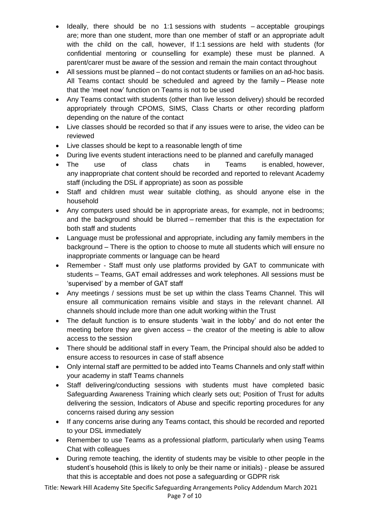- Ideally, there should be no 1:1 sessions with students  $-$  acceptable groupings are; more than one student, more than one member of staff or an appropriate adult with the child on the call, however, If 1:1 sessions are held with students (for confidential mentoring or counselling for example) these must be planned. A parent/carer must be aware of the session and remain the main contact throughout
- All sessions must be planned do not contact students or families on an ad-hoc basis. All Teams contact should be scheduled and agreed by the family – Please note that the 'meet now' function on Teams is not to be used
- Any Teams contact with students (other than live lesson delivery) should be recorded appropriately through CPOMS, SIMS, Class Charts or other recording platform depending on the nature of the contact
- Live classes should be recorded so that if any issues were to arise, the video can be reviewed
- Live classes should be kept to a reasonable length of time
- During live events student interactions need to be planned and carefully managed
- The use of class chats in Teams is enabled, however, any inappropriate chat content should be recorded and reported to relevant Academy staff (including the DSL if appropriate) as soon as possible
- Staff and children must wear suitable clothing, as should anyone else in the household
- Any computers used should be in appropriate areas, for example, not in bedrooms; and the background should be blurred – remember that this is the expectation for both staff and students
- Language must be professional and appropriate, including any family members in the background – There is the option to choose to mute all students which will ensure no inappropriate comments or language can be heard
- Remember Staff must only use platforms provided by GAT to communicate with students – Teams, GAT email addresses and work telephones. All sessions must be 'supervised' by a member of GAT staff
- Any meetings / sessions must be set up within the class Teams Channel. This will ensure all communication remains visible and stays in the relevant channel. All channels should include more than one adult working within the Trust
- The default function is to ensure students 'wait in the lobby' and do not enter the meeting before they are given access – the creator of the meeting is able to allow access to the session
- There should be additional staff in every Team, the Principal should also be added to ensure access to resources in case of staff absence
- Only internal staff are permitted to be added into Teams Channels and only staff within your academy in staff Teams channels
- Staff delivering/conducting sessions with students must have completed basic Safeguarding Awareness Training which clearly sets out; Position of Trust for adults delivering the session, Indicators of Abuse and specific reporting procedures for any concerns raised during any session
- If any concerns arise during any Teams contact, this should be recorded and reported to your DSL immediately
- Remember to use Teams as a professional platform, particularly when using Teams Chat with colleagues
- During remote teaching, the identity of students may be visible to other people in the student's household (this is likely to only be their name or initials) - please be assured that this is acceptable and does not pose a safeguarding or GDPR risk

Title: Newark Hill Academy Site Specific Safeguarding Arrangements Policy Addendum March 2021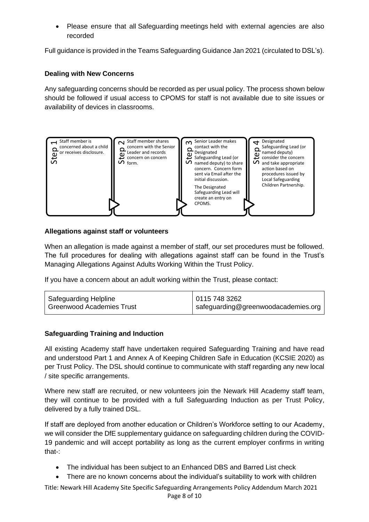• Please ensure that all Safeguarding meetings held with external agencies are also recorded

Full guidance is provided in the Teams Safeguarding Guidance Jan 2021 (circulated to DSL's).

## **Dealing with New Concerns**

Any safeguarding concerns should be recorded as per usual policy. The process shown below should be followed if usual access to CPOMS for staff is not available due to site issues or availability of devices in classrooms.



## **Allegations against staff or volunteers**

When an allegation is made against a member of staff, our set procedures must be followed. The full procedures for dealing with allegations against staff can be found in the Trust's Managing Allegations Against Adults Working Within the Trust Policy.

If you have a concern about an adult working within the Trust, please contact:

| <b>Safeguarding Helpline</b> | 0115 748 3262                         |
|------------------------------|---------------------------------------|
| Greenwood Academies Trust    | I safeguarding@greenwoodacademies.org |
|                              |                                       |

## **Safeguarding Training and Induction**

All existing Academy staff have undertaken required Safeguarding Training and have read and understood Part 1 and Annex A of Keeping Children Safe in Education (KCSIE 2020) as per Trust Policy. The DSL should continue to communicate with staff regarding any new local / site specific arrangements.

Where new staff are recruited, or new volunteers join the Newark Hill Academy staff team, they will continue to be provided with a full Safeguarding Induction as per Trust Policy, delivered by a fully trained DSL.

If staff are deployed from another education or Children's Workforce setting to our Academy, we will consider the DfE supplementary guidance on safeguarding children during the COVID-19 pandemic and will accept portability as long as the current employer confirms in writing that-:

- The individual has been subject to an Enhanced DBS and Barred List check
- 

Title: Newark Hill Academy Site Specific Safeguarding Arrangements Policy Addendum March 2021 Page 8 of 10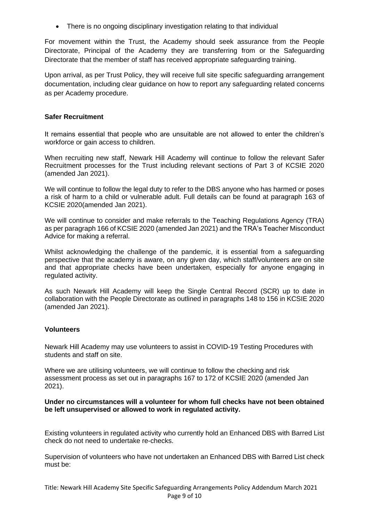• There is no ongoing disciplinary investigation relating to that individual

For movement within the Trust, the Academy should seek assurance from the People Directorate, Principal of the Academy they are transferring from or the Safeguarding Directorate that the member of staff has received appropriate safeguarding training.

Upon arrival, as per Trust Policy, they will receive full site specific safeguarding arrangement documentation, including clear guidance on how to report any safeguarding related concerns as per Academy procedure.

#### **Safer Recruitment**

It remains essential that people who are unsuitable are not allowed to enter the children's workforce or gain access to children.

When recruiting new staff, Newark Hill Academy will continue to follow the relevant Safer Recruitment processes for the Trust including relevant sections of Part 3 of KCSIE 2020 (amended Jan 2021).

We will continue to follow the legal duty to refer to the DBS anyone who has harmed or poses a risk of harm to a child or vulnerable adult. Full details can be found at paragraph 163 of KCSIE 2020(amended Jan 2021).

We will continue to consider and make referrals to the Teaching Regulations Agency (TRA) as per paragraph 166 of KCSIE 2020 (amended Jan 2021) and the TRA's Teacher Misconduct Advice for making a referral.

Whilst acknowledging the challenge of the pandemic, it is essential from a safeguarding perspective that the academy is aware, on any given day, which staff/volunteers are on site and that appropriate checks have been undertaken, especially for anyone engaging in regulated activity.

As such Newark Hill Academy will keep the Single Central Record (SCR) up to date in collaboration with the People Directorate as outlined in paragraphs 148 to 156 in KCSIE 2020 (amended Jan 2021).

#### **Volunteers**

Newark Hill Academy may use volunteers to assist in COVID-19 Testing Procedures with students and staff on site.

Where we are utilising volunteers, we will continue to follow the checking and risk assessment process as set out in paragraphs 167 to 172 of KCSIE 2020 (amended Jan 2021).

#### **Under no circumstances will a volunteer for whom full checks have not been obtained be left unsupervised or allowed to work in regulated activity.**

Existing volunteers in regulated activity who currently hold an Enhanced DBS with Barred List check do not need to undertake re-checks.

Supervision of volunteers who have not undertaken an Enhanced DBS with Barred List check must be: